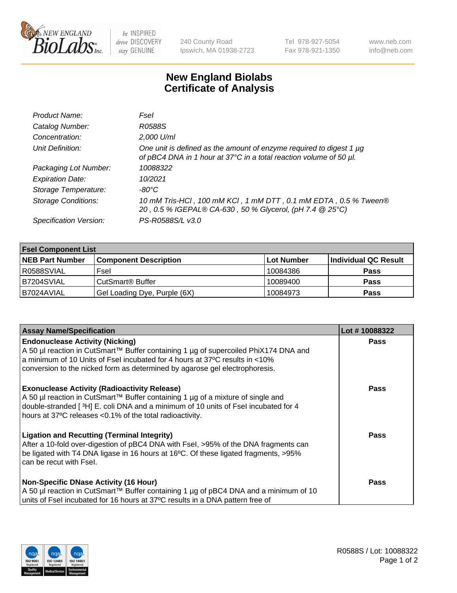

 $be$  INSPIRED drive DISCOVERY stay GENUINE

240 County Road Ipswich, MA 01938-2723 Tel 978-927-5054 Fax 978-921-1350 www.neb.com info@neb.com

## **New England Biolabs Certificate of Analysis**

| Product Name:              | Fsel                                                                                                                                      |
|----------------------------|-------------------------------------------------------------------------------------------------------------------------------------------|
| Catalog Number:            | R0588S                                                                                                                                    |
| Concentration:             | 2,000 U/ml                                                                                                                                |
| Unit Definition:           | One unit is defined as the amount of enzyme required to digest 1 µg<br>of pBC4 DNA in 1 hour at 37°C in a total reaction volume of 50 µl. |
| Packaging Lot Number:      | 10088322                                                                                                                                  |
| <b>Expiration Date:</b>    | 10/2021                                                                                                                                   |
| Storage Temperature:       | -80°C                                                                                                                                     |
| <b>Storage Conditions:</b> | 10 mM Tris-HCl, 100 mM KCl, 1 mM DTT, 0.1 mM EDTA, 0.5 % Tween®<br>20, 0.5 % IGEPAL® CA-630, 50 % Glycerol, (pH 7.4 @ 25°C)               |
| Specification Version:     | PS-R0588S/L v3.0                                                                                                                          |

| <b>Fsel Component List</b> |                              |            |                      |  |  |
|----------------------------|------------------------------|------------|----------------------|--|--|
| <b>NEB Part Number</b>     | <b>Component Description</b> | Lot Number | Individual QC Result |  |  |
| R0588SVIAL                 | Fsel                         | 10084386   | <b>Pass</b>          |  |  |
| IB7204SVIAL                | CutSmart <sup>®</sup> Buffer | 10089400   | <b>Pass</b>          |  |  |
| B7024AVIAL                 | Gel Loading Dye, Purple (6X) | 10084973   | <b>Pass</b>          |  |  |

| <b>Assay Name/Specification</b>                                                                                                                                                                                                                                                          | Lot #10088322 |
|------------------------------------------------------------------------------------------------------------------------------------------------------------------------------------------------------------------------------------------------------------------------------------------|---------------|
| <b>Endonuclease Activity (Nicking)</b><br>  A 50 µl reaction in CutSmart™ Buffer containing 1 µg of supercoiled PhiX174 DNA and                                                                                                                                                          | <b>Pass</b>   |
| a minimum of 10 Units of Fsel incubated for 4 hours at 37°C results in <10%<br>conversion to the nicked form as determined by agarose gel electrophoresis.                                                                                                                               |               |
| <b>Exonuclease Activity (Radioactivity Release)</b><br>A 50 µl reaction in CutSmart™ Buffer containing 1 µg of a mixture of single and<br>double-stranded [3H] E. coli DNA and a minimum of 10 units of Fsel incubated for 4<br>hours at 37°C releases <0.1% of the total radioactivity. | <b>Pass</b>   |
| <b>Ligation and Recutting (Terminal Integrity)</b><br>After a 10-fold over-digestion of pBC4 DNA with Fsel, >95% of the DNA fragments can<br>be ligated with T4 DNA ligase in 16 hours at 16°C. Of these ligated fragments, >95%<br>can be recut with Fsel.                              | Pass          |
| <b>Non-Specific DNase Activity (16 Hour)</b>                                                                                                                                                                                                                                             | <b>Pass</b>   |
| A 50 µl reaction in CutSmart™ Buffer containing 1 µg of pBC4 DNA and a minimum of 10<br>units of Fsel incubated for 16 hours at 37°C results in a DNA pattern free of                                                                                                                    |               |